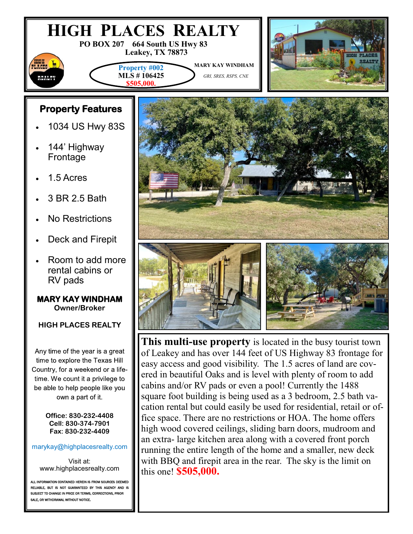

## **Property Features**

- 1034 US Hwy 83S
- 144' Highway Frontage
- 1.5 Acres
- 3 BR 2.5 Bath
- No Restrictions
- Deck and Firepit
- Room to add more rental cabins or RV pads

**MARY KAY WINDHAM Owner/Broker** 

## **HIGH PLACES REALTY**

Any time of the year is a great time to explore the Texas Hill Country, for a weekend or a lifetime. We count it a privilege to be able to help people like you own a part of it.

> **Office: 830-232-4408 Cell: 830-374-7901 Fax: 830-232-4409**

## marykay@highplacesrealty.com

Visit at: www.highplacesrealty.com

ALL INFORMATION CONTAINED HEREIN IS FROM SOURCES DEEMED RELIABLE, BUT IS NOT GUARANTEED BY THIS AGENCY AND IS SUBJECT TO CHANGE IN PRICE OR TERMS, CORRECTIONS, PRIOR SALE, OR WITHDRAWAL WITHOUT NOTICE.



**This multi-use property** is located in the busy tourist town of Leakey and has over 144 feet of US Highway 83 frontage for easy access and good visibility. The 1.5 acres of land are covered in beautiful Oaks and is level with plenty of room to add cabins and/or RV pads or even a pool! Currently the 1488 square foot building is being used as a 3 bedroom, 2.5 bath vacation rental but could easily be used for residential, retail or office space. There are no restrictions or HOA. The home offers high wood covered ceilings, sliding barn doors, mudroom and an extra- large kitchen area along with a covered front porch running the entire length of the home and a smaller, new deck with BBQ and firepit area in the rear. The sky is the limit on this one! **\$505,000.**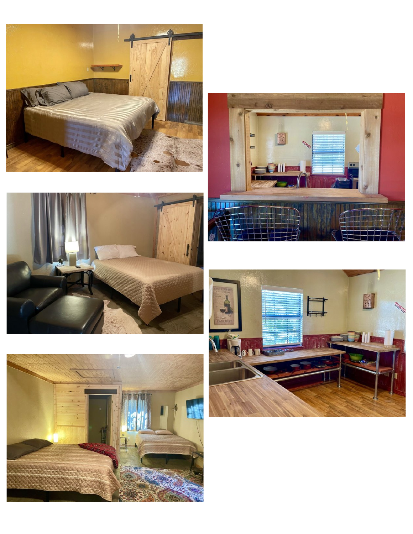